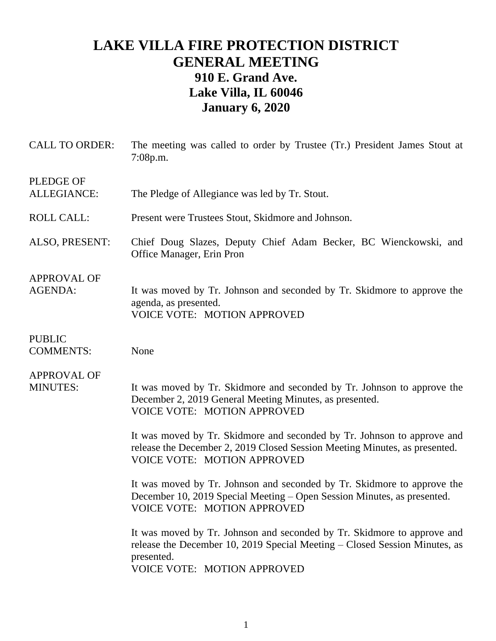# **LAKE VILLA FIRE PROTECTION DISTRICT GENERAL MEETING 910 E. Grand Ave. Lake Villa, IL 60046 January 6, 2020**

| <b>CALL TO ORDER:</b>                  | The meeting was called to order by Trustee (Tr.) President James Stout at<br>7:08p.m.                                                                                                              |
|----------------------------------------|----------------------------------------------------------------------------------------------------------------------------------------------------------------------------------------------------|
| <b>PLEDGE OF</b><br><b>ALLEGIANCE:</b> | The Pledge of Allegiance was led by Tr. Stout.                                                                                                                                                     |
| <b>ROLL CALL:</b>                      | Present were Trustees Stout, Skidmore and Johnson.                                                                                                                                                 |
| ALSO, PRESENT:                         | Chief Doug Slazes, Deputy Chief Adam Becker, BC Wienckowski, and<br>Office Manager, Erin Pron                                                                                                      |
| <b>APPROVAL OF</b><br><b>AGENDA:</b>   | It was moved by Tr. Johnson and seconded by Tr. Skidmore to approve the<br>agenda, as presented.<br><b>VOICE VOTE: MOTION APPROVED</b>                                                             |
| <b>PUBLIC</b><br><b>COMMENTS:</b>      | None                                                                                                                                                                                               |
| <b>APPROVAL OF</b><br><b>MINUTES:</b>  | It was moved by Tr. Skidmore and seconded by Tr. Johnson to approve the<br>December 2, 2019 General Meeting Minutes, as presented.<br><b>VOICE VOTE: MOTION APPROVED</b>                           |
|                                        | It was moved by Tr. Skidmore and seconded by Tr. Johnson to approve and<br>release the December 2, 2019 Closed Session Meeting Minutes, as presented.<br><b>VOICE VOTE: MOTION APPROVED</b>        |
|                                        | It was moved by Tr. Johnson and seconded by Tr. Skidmore to approve the<br>December 10, 2019 Special Meeting – Open Session Minutes, as presented.<br><b>VOICE VOTE: MOTION APPROVED</b>           |
|                                        | It was moved by Tr. Johnson and seconded by Tr. Skidmore to approve and<br>release the December 10, 2019 Special Meeting – Closed Session Minutes, as<br>presented.<br>VOICE VOTE: MOTION APPROVED |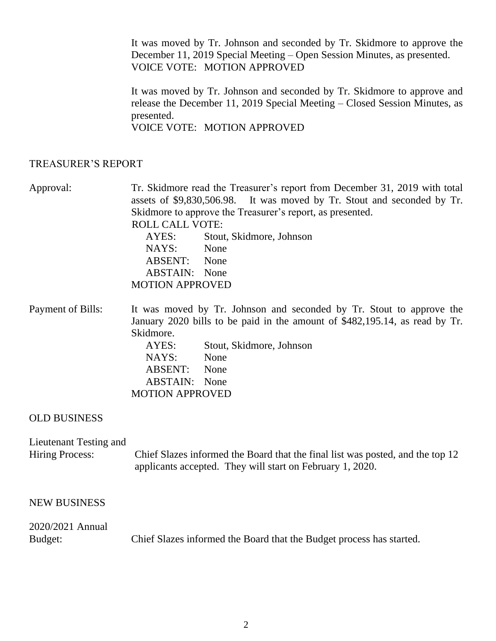It was moved by Tr. Johnson and seconded by Tr. Skidmore to approve the December 11, 2019 Special Meeting – Open Session Minutes, as presented. VOICE VOTE: MOTION APPROVED

It was moved by Tr. Johnson and seconded by Tr. Skidmore to approve and release the December 11, 2019 Special Meeting – Closed Session Minutes, as presented.

VOICE VOTE: MOTION APPROVED

### TREASURER'S REPORT

Approval: Tr. Skidmore read the Treasurer's report from December 31, 2019 with total assets of \$9,830,506.98. It was moved by Tr. Stout and seconded by Tr. Skidmore to approve the Treasurer's report, as presented. ROLL CALL VOTE: AYES: Stout, Skidmore, Johnson NAYS: None ABSENT: None ABSTAIN: None MOTION APPROVED

Payment of Bills: It was moved by Tr. Johnson and seconded by Tr. Stout to approve the January 2020 bills to be paid in the amount of \$482,195.14, as read by Tr. Skidmore. AYES: Stout, Skidmore, Johnson NAYS: None ABSENT: None ABSTAIN: None MOTION APPROVED

### OLD BUSINESS

Lieutenant Testing and Hiring Process: Chief Slazes informed the Board that the final list was posted, and the top 12 applicants accepted. They will start on February 1, 2020.

#### NEW BUSINESS

## 2020/2021 Annual Budget: Chief Slazes informed the Board that the Budget process has started.